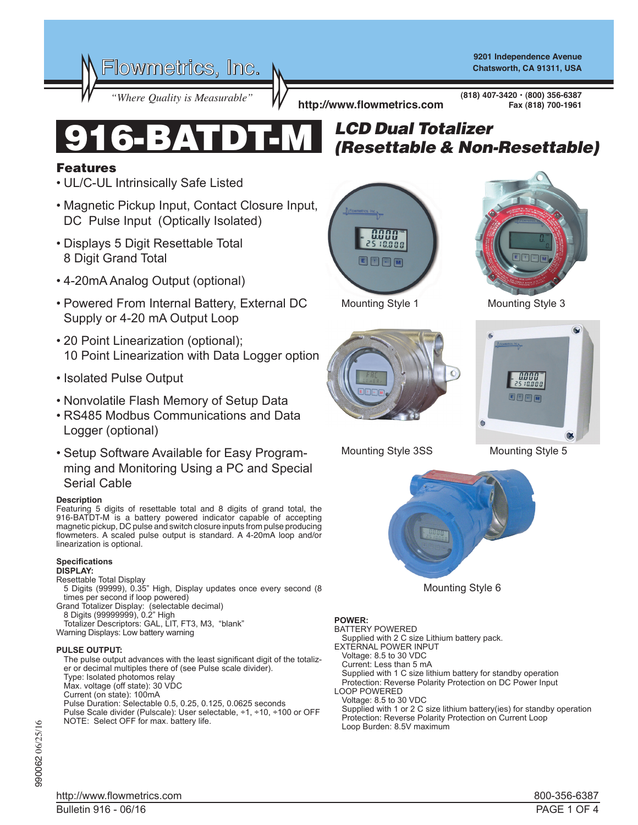Flowmetrics, Inc.

**9201 Independence Avenue Chatsworth, CA 91311, USA**

*"Where Quality is Measurable"* **http://www.flowmetrics.com**

**(818) 407-3420 • (800) 356-6387 Fax (818) 700-1961**



## Features

- UL/C-UL Intrinsically Safe Listed
- Magnetic Pickup Input, Contact Closure Input, DC Pulse Input (Optically Isolated)
- Displays 5 Digit Resettable Total 8 Digit Grand Total
- 4-20mA Analog Output (optional)
- Powered From Internal Battery, External DC Supply or 4-20 mA Output Loop
- 20 Point Linearization (optional); 10 Point Linearization with Data Logger option
- Isolated Pulse Output
- Nonvolatile Flash Memory of Setup Data
- RS485 Modbus Communications and Data Logger (optional)
- Setup Software Available for Easy Programming and Monitoring Using a PC and Special Serial Cable

## **Description**

Featuring 5 digits of resettable total and 8 digits of grand total, the 916-BATDT-M is a battery powered indicator capable of accepting magnetic pickup, DC pulse and switch closure inputs from pulse producing flowmeters. A scaled pulse output is standard. A 4-20mA loop and/or linearization is optional.

## **Specifications**

**DISPLAY:**

- Resettable Total Display 5 Digits (99999), 0.35" High, Display updates once every second (8
- times per second if loop powered) Grand Totalizer Display: (selectable decimal)
- 8 Digits (99999999), 0.2" High
- Totalizer Descriptors: GAL, LIT, FT3, M3, "blank" Warning Displays: Low battery warning

## **PULSE OUTPUT:**

 The pulse output advances with the least significant digit of the totalizer or decimal multiples there of (see Pulse scale divider). Type: Isolated photomos relay Max. voltage (off state): 30 VDC Current (on state): 100mA Pulse Duration: Selectable 0.5, 0.25, 0.125, 0.0625 seconds Pulse Scale divider (Pulscale): User selectable, ÷1, ÷10, ÷100 or OFF NOTE: Select OFF for max. battery life.

# *LCD Dual Totalizer* 916-BATDT-M *(Resettable & Non-Resettable)*







Mounting Style 1 Mounting Style 3



Mounting Style 3SS

Mounting Style 5



Mounting Style 6

**POWER:**

BATTERY POWERED Supplied with 2 C size Lithium battery pack. EXTERNAL POWER INPUT Voltage: 8.5 to 30 VDC Current: Less than 5 mA Supplied with 1 C size lithium battery for standby operation Protection: Reverse Polarity Protection on DC Power Input LOOP POWERED Voltage: 8.5 to 30 VDC Supplied with 1 or 2 C size lithium battery(ies) for standby operation Protection: Reverse Polarity Protection on Current Loop Loop Burden: 8.5V maximum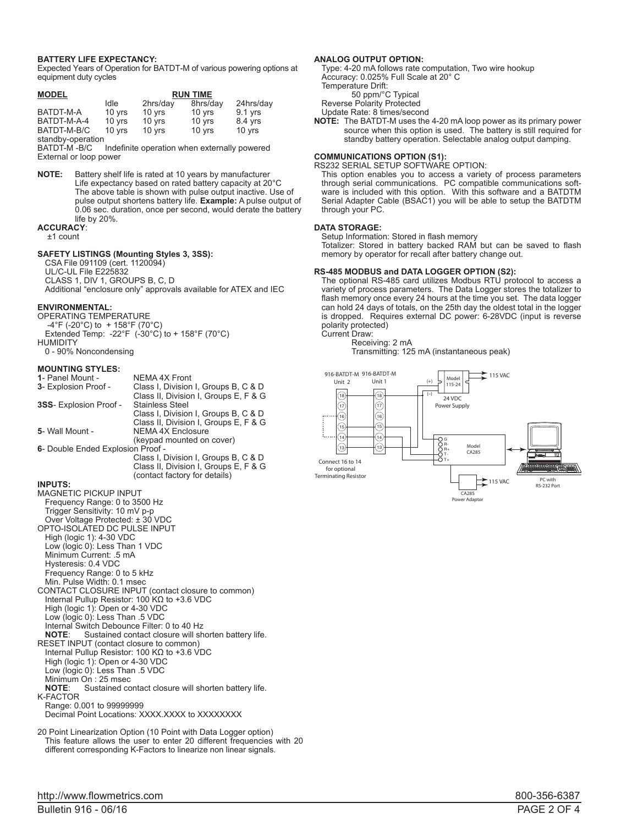#### **BATTERY LIFE EXPECTANCY:**

Expected Years of Operation for BATDT-M of various powering options at equipment duty cycles

| <b>MODEL</b>      | <b>RUN TIME</b> |          |          |           |
|-------------------|-----------------|----------|----------|-----------|
|                   | Idle            | 2hrs/day | 8hrs/day | 24hrs/day |
| BATDT-M-A         | 10 yrs          | 10 yrs   | $10$ yrs | $9.1$ yrs |
| BATDT-M-A-4       | 10 yrs          | 10 yrs   | 10 yrs   | 8.4 yrs   |
| BATDT-M-B/C       | 10 yrs          | 10 yrs   | 10 yrs   | 10 yrs    |
| standby-operation |                 |          |          |           |

BATDT-M -B/C Indefinite operation when externally powered External or loop power

**NOTE:** Battery shelf life is rated at 10 years by manufacturer Life expectancy based on rated battery capacity at 20°C The above table is shown with pulse output inactive. Use of pulse output shortens battery life. **Example:** A pulse output of 0.06 sec. duration, once per second, would derate the battery life by 20%. **ACCURACY**:

±1 count

#### **SAFETY LISTINGS (Mounting Styles 3, 3SS):**

CSA File 091109 (cert. 1120094)

- UL/C-UL File E225832
- CLASS 1, DIV 1, GROUPS B, C, D
- Additional "enclosure only" approvals available for ATEX and IEC

#### **ENVIRONMENTAL:**

- OPERATING TEMPERATURE  $-4^{\circ}$ F (-20 $^{\circ}$ C) to + 158 $^{\circ}$ F (70 $^{\circ}$ C) Extended Temp: -22°F (-30°C) to + 158°F (70°C) **HUMIDITY**
- 0 90% Noncondensing

#### **MOUNTING STYLES:**

| 1- Panel Mount -                  | NEMA 4X Front                         |  |  |
|-----------------------------------|---------------------------------------|--|--|
| 3- Explosion Proof -              | Class I, Division I, Groups B, C & D  |  |  |
|                                   | Class II, Division I, Groups E, F & G |  |  |
| 3SS- Explosion Proof -            | <b>Stainless Steel</b>                |  |  |
|                                   | Class I, Division I, Groups B, C & D  |  |  |
|                                   | Class II, Division I, Groups E, F & G |  |  |
| 5- Wall Mount -                   | <b>NEMA 4X Enclosure</b>              |  |  |
|                                   | (keypad mounted on cover)             |  |  |
| 6- Double Ended Explosion Proof - |                                       |  |  |
|                                   | Class I, Division I, Groups B, C & D  |  |  |
|                                   | Class II, Division I, Groups E, F & G |  |  |
|                                   | (contact factory for details)         |  |  |
|                                   |                                       |  |  |

#### **INPUTS:**

| <b>MAGNETIC PICKUP INPUT</b>                                      |
|-------------------------------------------------------------------|
| Frequency Range: 0 to 3500 Hz                                     |
| Trigger Sensitivity: 10 mV p-p                                    |
| Over Voltage Protected: ± 30 VDC                                  |
| OPTO-ISOLATED DC PULSE INPUT                                      |
| High (logic 1): 4-30 VDC                                          |
| Low (logic 0): Less Than 1 VDC                                    |
| Minimum Current: .5 mA                                            |
| Hysteresis: 0.4 VDC                                               |
| Frequency Range: 0 to 5 kHz                                       |
| Min. Pulse Width: 0.1 msec                                        |
| CONTACT CLOSURE INPUT (contact closure to common)                 |
| Internal Pullup Resistor: 100 K $\Omega$ to +3.6 VDC              |
| High (logic 1): Open or 4-30 VDC                                  |
| Low (logic 0): Less Than .5 VDC                                   |
| Internal Switch Debounce Filter: 0 to 40 Hz                       |
|                                                                   |
| <b>NOTE:</b> Sustained contact closure will shorten battery life. |
| RESET INPUT (contact closure to common)                           |
| Internal Pullup Resistor: 100 K $\Omega$ to +3.6 VDC              |
| High (logic 1): Open or 4-30 VDC                                  |
| Low (logic 0): Less Than .5 VDC                                   |
| Minimum On: 25 msec                                               |
| <b>NOTE:</b> Sustained contact closure will shorten battery life. |
| <b>K-FACTOR</b>                                                   |
| Range: 0.001 to 99999999                                          |
| Decimal Point Locations: XXXX XXXX to XXXXXXXX                    |
|                                                                   |

20 Point Linearization Option (10 Point with Data Logger option) This feature allows the user to enter 20 different frequencies with 20 different corresponding K-Factors to linearize non linear signals.

#### **ANALOG OUTPUT OPTION:**

Type: 4-20 mA follows rate computation, Two wire hookup Accuracy: 0.025% Full Scale at 20° C Temperature Drift: 50 ppm/°C Typical Reverse Polarity Protected

Update Rate: 8 times/second

**NOTE:** The BATDT-M uses the 4-20 mA loop power as its primary power source when this option is used. The battery is still required for standby battery operation. Selectable analog output damping.

#### **COMMUNICATIONS OPTION (S1):**

RS232 SERIAL SETUP SOFTWARE OPTION:

This option enables you to access a variety of process parameters through serial communications. PC compatible communications software is included with this option. With this software and a BATDTM Serial Adapter Cable (BSAC1) you will be able to setup the BATDTM through your PC.

#### **DATA STORAGE:**

 Setup Information: Stored in flash memory

 Totalizer: Stored in battery backed RAM but can be saved to flash memory by operator for recall after battery change out.

#### **RS-485 MODBUS and DATA LOGGER OPTION (S2):**

The optional RS-485 card utilizes Modbus RTU protocol to access a variety of process parameters. The Data Logger stores the totalizer to flash memory once every 24 hours at the time you set. The data logger can hold 24 days of totals, on the 25th day the oldest total in the logger is dropped. Requires external DC power: 6-28VDC (input is reverse polarity protected)

Current Draw:

 Receiving: 2 mA Transmitting: 125 mA (instantaneous peak)

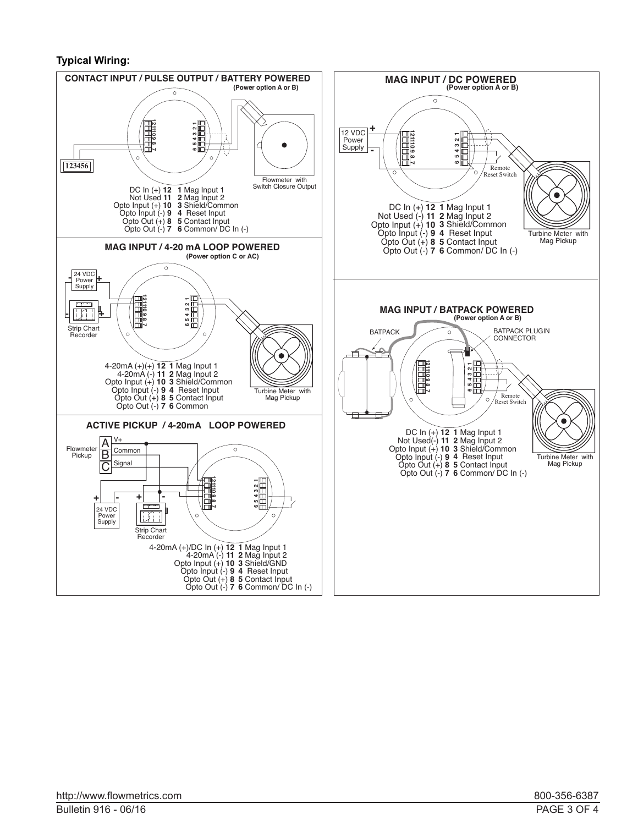## **Typical Wiring:**